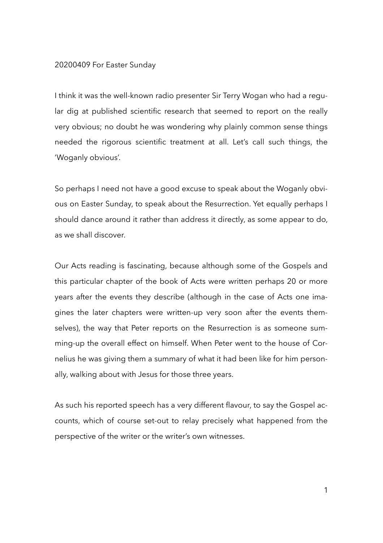## 20200409 For Easter Sunday

I think it was the well-known radio presenter Sir Terry Wogan who had a regular dig at published scientific research that seemed to report on the really very obvious; no doubt he was wondering why plainly common sense things needed the rigorous scientific treatment at all. Let's call such things, the 'Woganly obvious'.

So perhaps I need not have a good excuse to speak about the Woganly obvious on Easter Sunday, to speak about the Resurrection. Yet equally perhaps I should dance around it rather than address it directly, as some appear to do, as we shall discover.

Our Acts reading is fascinating, because although some of the Gospels and this particular chapter of the book of Acts were written perhaps 20 or more years after the events they describe (although in the case of Acts one imagines the later chapters were written-up very soon after the events themselves), the way that Peter reports on the Resurrection is as someone summing-up the overall effect on himself. When Peter went to the house of Cornelius he was giving them a summary of what it had been like for him personally, walking about with Jesus for those three years.

As such his reported speech has a very different flavour, to say the Gospel accounts, which of course set-out to relay precisely what happened from the perspective of the writer or the writer's own witnesses.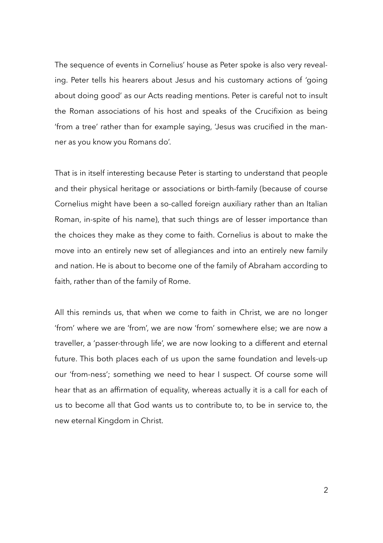The sequence of events in Cornelius' house as Peter spoke is also very revealing. Peter tells his hearers about Jesus and his customary actions of 'going about doing good' as our Acts reading mentions. Peter is careful not to insult the Roman associations of his host and speaks of the Crucifixion as being 'from a tree' rather than for example saying, 'Jesus was crucified in the manner as you know you Romans do'.

That is in itself interesting because Peter is starting to understand that people and their physical heritage or associations or birth-family (because of course Cornelius might have been a so-called foreign auxiliary rather than an Italian Roman, in-spite of his name), that such things are of lesser importance than the choices they make as they come to faith. Cornelius is about to make the move into an entirely new set of allegiances and into an entirely new family and nation. He is about to become one of the family of Abraham according to faith, rather than of the family of Rome.

All this reminds us, that when we come to faith in Christ, we are no longer 'from' where we are 'from', we are now 'from' somewhere else; we are now a traveller, a 'passer-through life', we are now looking to a different and eternal future. This both places each of us upon the same foundation and levels-up our 'from-ness'; something we need to hear I suspect. Of course some will hear that as an affirmation of equality, whereas actually it is a call for each of us to become all that God wants us to contribute to, to be in service to, the new eternal Kingdom in Christ.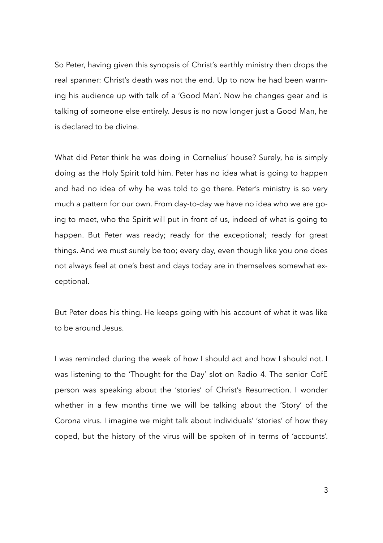So Peter, having given this synopsis of Christ's earthly ministry then drops the real spanner: Christ's death was not the end. Up to now he had been warming his audience up with talk of a 'Good Man'. Now he changes gear and is talking of someone else entirely. Jesus is no now longer just a Good Man, he is declared to be divine.

What did Peter think he was doing in Cornelius' house? Surely, he is simply doing as the Holy Spirit told him. Peter has no idea what is going to happen and had no idea of why he was told to go there. Peter's ministry is so very much a pattern for our own. From day-to-day we have no idea who we are going to meet, who the Spirit will put in front of us, indeed of what is going to happen. But Peter was ready; ready for the exceptional; ready for great things. And we must surely be too; every day, even though like you one does not always feel at one's best and days today are in themselves somewhat exceptional.

But Peter does his thing. He keeps going with his account of what it was like to be around Jesus.

I was reminded during the week of how I should act and how I should not. I was listening to the 'Thought for the Day' slot on Radio 4. The senior CofE person was speaking about the 'stories' of Christ's Resurrection. I wonder whether in a few months time we will be talking about the 'Story' of the Corona virus. I imagine we might talk about individuals' 'stories' of how they coped, but the history of the virus will be spoken of in terms of 'accounts'.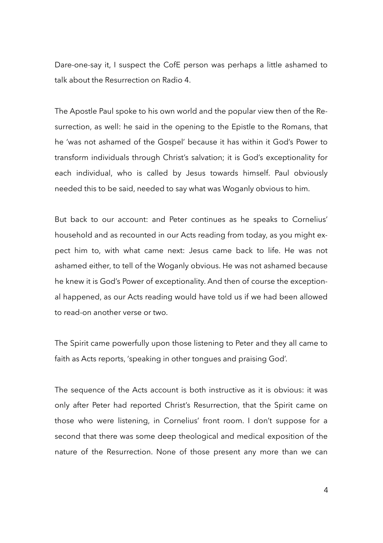Dare-one-say it, I suspect the CofE person was perhaps a little ashamed to talk about the Resurrection on Radio 4.

The Apostle Paul spoke to his own world and the popular view then of the Resurrection, as well: he said in the opening to the Epistle to the Romans, that he 'was not ashamed of the Gospel' because it has within it God's Power to transform individuals through Christ's salvation; it is God's exceptionality for each individual, who is called by Jesus towards himself. Paul obviously needed this to be said, needed to say what was Woganly obvious to him.

But back to our account: and Peter continues as he speaks to Cornelius' household and as recounted in our Acts reading from today, as you might expect him to, with what came next: Jesus came back to life. He was not ashamed either, to tell of the Woganly obvious. He was not ashamed because he knew it is God's Power of exceptionality. And then of course the exceptional happened, as our Acts reading would have told us if we had been allowed to read-on another verse or two.

The Spirit came powerfully upon those listening to Peter and they all came to faith as Acts reports, 'speaking in other tongues and praising God'.

The sequence of the Acts account is both instructive as it is obvious: it was only after Peter had reported Christ's Resurrection, that the Spirit came on those who were listening, in Cornelius' front room. I don't suppose for a second that there was some deep theological and medical exposition of the nature of the Resurrection. None of those present any more than we can